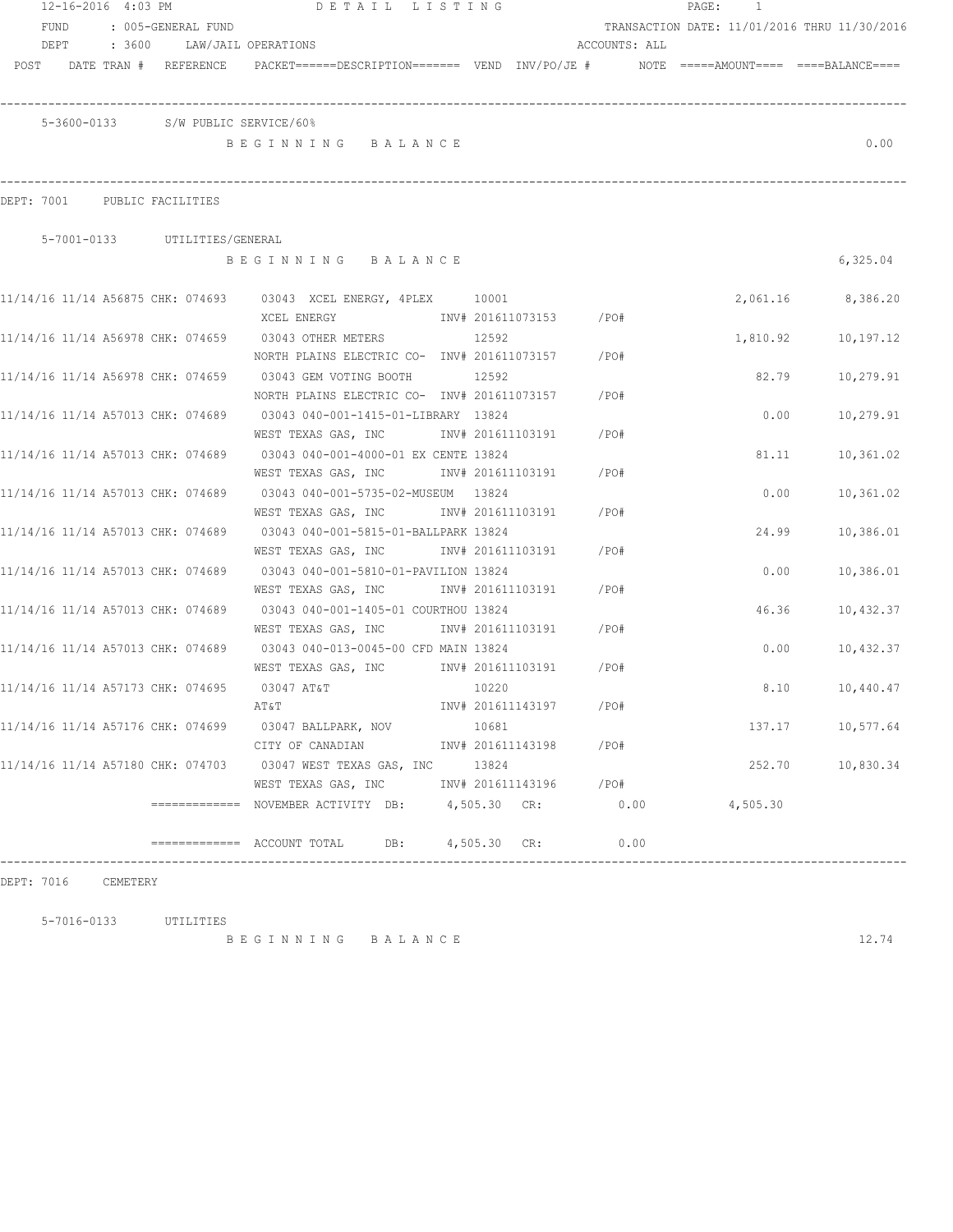|      |      |      | 12-16-2016 4:03 PM           |                                   |                                                                                                                 | DETAIL LISTING   |       |                        |               | PAGE: | 1        |                                              |
|------|------|------|------------------------------|-----------------------------------|-----------------------------------------------------------------------------------------------------------------|------------------|-------|------------------------|---------------|-------|----------|----------------------------------------------|
|      | FUND |      |                              | : 005-GENERAL FUND                |                                                                                                                 |                  |       |                        |               |       |          | TRANSACTION DATE: 11/01/2016 THRU 11/30/2016 |
|      |      | DEPT |                              |                                   | : 3600 LAW/JAIL OPERATIONS                                                                                      |                  |       |                        | ACCOUNTS: ALL |       |          |                                              |
| POST |      |      |                              |                                   | DATE TRAN # REFERENCE PACKET======DESCRIPTION======= VEND INV/PO/JE # NOTE =====AMOUNT==== ====BALANCE====      |                  |       |                        |               |       |          |                                              |
|      |      |      |                              |                                   | 5-3600-0133 S/W PUBLIC SERVICE/60%                                                                              |                  |       |                        |               |       |          |                                              |
|      |      |      |                              |                                   | BEGINNING BALANCE                                                                                               |                  |       |                        |               |       |          | 0.00                                         |
|      |      |      | DEPT: 7001 PUBLIC FACILITIES |                                   |                                                                                                                 |                  |       |                        |               |       |          |                                              |
|      |      |      |                              | 5-7001-0133 UTILITIES/GENERAL     |                                                                                                                 |                  |       |                        |               |       |          |                                              |
|      |      |      |                              |                                   | BEGINNING BALANCE                                                                                               |                  |       |                        |               |       |          | 6,325.04                                     |
|      |      |      |                              |                                   | 11/14/16 11/14 A56875 CHK: 074693 03043 XCEL ENERGY, 4PLEX 10001<br>XCEL ENERGY                                 |                  |       | INV# 201611073153 /PO# |               |       |          | 2,061.16 8,386.20                            |
|      |      |      |                              |                                   | 11/14/16 11/14 A56978 CHK: 074659 03043 OTHER METERS<br>NORTH PLAINS ELECTRIC CO- INV# 201611073157             |                  | 12592 |                        | /PO#          |       | 1,810.92 | 10,197.12                                    |
|      |      |      |                              |                                   | 11/14/16 11/14 A56978 CHK: 074659 03043 GEM VOTING BOOTH<br>NORTH PLAINS ELECTRIC CO- INV# 201611073157         |                  | 12592 |                        | /PO#          |       | 82.79    | 10,279.91                                    |
|      |      |      |                              |                                   | 11/14/16 11/14 A57013 CHK: 074689 03043 040-001-1415-01-LIBRARY 13824<br>WEST TEXAS GAS, INC                    |                  |       | INV# 201611103191      | /PO#          |       | 0.00     | 10,279.91                                    |
|      |      |      |                              |                                   | 11/14/16 11/14 A57013 CHK: 074689 03043 040-001-4000-01 EX CENTE 13824                                          |                  |       |                        |               |       | 81.11    | 10,361.02                                    |
|      |      |      |                              |                                   | WEST TEXAS GAS, INC                                                                                             |                  |       | INV# 201611103191      | /PO#          |       |          |                                              |
|      |      |      |                              | 11/14/16 11/14 A57013 CHK: 074689 |                                                                                                                 |                  |       |                        | $/$ PO#       |       | 0.00     | 10,361.02                                    |
|      |      |      |                              |                                   | WEST TEXAS GAS, INC MOV# 201611103191<br>11/14/16 11/14 A57013 CHK: 074689 03043 040-001-5815-01-BALLPARK 13824 |                  |       |                        |               |       | 24.99    | 10,386.01                                    |
|      |      |      |                              |                                   | WEST TEXAS GAS, INC MONTH 201611103191                                                                          |                  |       |                        | $/$ PO#       |       |          |                                              |
|      |      |      |                              | 11/14/16 11/14 A57013 CHK: 074689 | 03043 040-001-5810-01-PAVILION 13824                                                                            |                  |       |                        |               |       | 0.00     | 10,386.01                                    |
|      |      |      |                              |                                   | WEST TEXAS GAS, INC 1NV# 201611103191                                                                           |                  |       |                        | /PO#          |       |          |                                              |
|      |      |      |                              |                                   | 11/14/16 11/14 A57013 CHK: 074689 03043 040-001-1405-01 COURTHOU 13824                                          |                  |       |                        |               |       | 46.36    | 10,432.37                                    |
|      |      |      |                              |                                   | WEST TEXAS GAS, INC MOV# 201611103191                                                                           |                  |       |                        | $/$ PO#       |       |          |                                              |
|      |      |      |                              |                                   | 11/14/16 11/14 A57013 CHK: 074689 03043 040-013-0045-00 CFD MAIN 13824                                          |                  |       |                        |               |       | 0.00     | 10,432.37                                    |
|      |      |      |                              |                                   | WEST TEXAS GAS, INC NW# 201611103191                                                                            |                  |       |                        | /PO#          |       |          |                                              |
|      |      |      |                              |                                   | $11/14/16$ 11/14 A57173 CHK: 074695 03047 AT&T 6886 10220                                                       |                  |       |                        |               |       | 8.10     | 10,440.47                                    |
|      |      |      |                              |                                   | AT&T                                                                                                            |                  |       | INV# 201611143197      | /PO#          |       |          |                                              |
|      |      |      |                              |                                   | 11/14/16 11/14 A57176 CHK: 074699 03047 BALLPARK, NOV                                                           |                  | 10681 |                        |               |       | 137.17   | 10,577.64                                    |
|      |      |      |                              |                                   | CITY OF CANADIAN 1NV# 201611143198 /PO#                                                                         |                  |       |                        |               |       |          |                                              |
|      |      |      |                              |                                   | 11/14/16 11/14 A57180 CHK: 074703 03047 WEST TEXAS GAS, INC 13824                                               |                  |       |                        |               |       | 252.70   | 10,830.34                                    |
|      |      |      |                              |                                   | WEST TEXAS GAS, INC MONTH 201611143196 / PO#                                                                    |                  |       |                        |               |       |          |                                              |
|      |      |      |                              |                                   | ============= NOVEMBER ACTIVITY DB: 4,505.30 CR:                                                                |                  |       |                        | 0.00          |       | 4,505.30 |                                              |
|      |      |      |                              |                                   |                                                                                                                 | DB: 4,505.30 CR: |       |                        | 0.00          |       |          |                                              |

DEPT: 7016 CEMETERY

5-7016-0133 UTILITIES

B E G I N N I N G B A L A N C E 12.74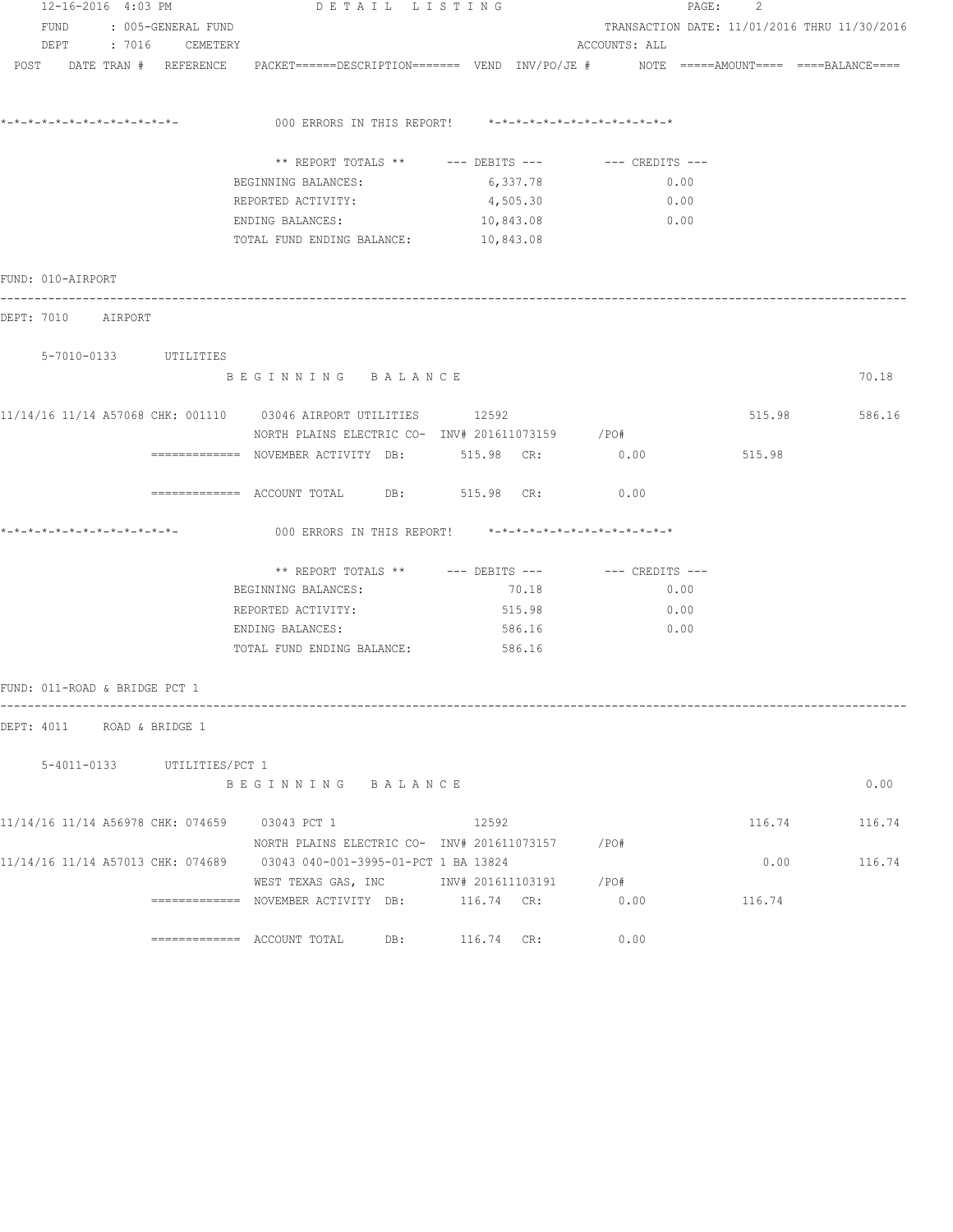| 12-16-2016 4:03 PM                            |                             | DETAIL LISTING                                                                                                 |            |               | PAGE:<br>2 |                                              |
|-----------------------------------------------|-----------------------------|----------------------------------------------------------------------------------------------------------------|------------|---------------|------------|----------------------------------------------|
| FUND<br>: 005-GENERAL FUND                    |                             |                                                                                                                |            |               |            | TRANSACTION DATE: 11/01/2016 THRU 11/30/2016 |
|                                               | DEPT : 7016 CEMETERY        |                                                                                                                |            | ACCOUNTS: ALL |            |                                              |
|                                               |                             | POST DATE TRAN # REFERENCE PACKET======DESCRIPTION======= VEND INV/PO/JE # NOTE =====AMOUNT==== ===BALANCE==== |            |               |            |                                              |
|                                               |                             | 000 ERRORS IN THIS REPORT! $*-*-*-*-*-*-*-*-*-*-*-*-*-*-**$                                                    |            |               |            |                                              |
|                                               |                             |                                                                                                                |            |               |            |                                              |
|                                               |                             | ** REPORT TOTALS ** --- DEBITS --- -- -- CREDITS ---                                                           |            |               |            |                                              |
|                                               |                             | BEGINNING BALANCES:                                                                                            | 6,337.78   | 0.00          |            |                                              |
|                                               |                             | REPORTED ACTIVITY:                                                                                             | 4,505.30   | 0.00          |            |                                              |
|                                               |                             | ENDING BALANCES:                                                                                               | 10,843.08  | 0.00          |            |                                              |
|                                               |                             | TOTAL FUND ENDING BALANCE: 10,843.08                                                                           |            |               |            |                                              |
| FUND: 010-AIRPORT                             |                             |                                                                                                                |            |               |            |                                              |
| DEPT: 7010 AIRPORT                            |                             |                                                                                                                |            |               |            |                                              |
| 5-7010-0133 UTILITIES                         |                             |                                                                                                                |            |               |            |                                              |
|                                               |                             | BEGINNING BALANCE                                                                                              |            |               |            | 70.18                                        |
|                                               |                             | 11/14/16 11/14 A57068 CHK: 001110 03046 AIRPORT UTILITIES 12592                                                |            |               | 515.98     | 586.16                                       |
|                                               |                             | NORTH PLAINS ELECTRIC CO- INV# 201611073159 / PO#                                                              |            |               |            |                                              |
|                                               |                             | ============ NOVEMBER ACTIVITY DB: 515.98 CR: 0.00                                                             |            |               | 515.98     |                                              |
|                                               |                             | ============= ACCOUNT TOTAL DB: 515.98 CR:                                                                     |            | 0.00          |            |                                              |
|                                               |                             | 000 ERRORS IN THIS REPORT! *-*-*-*-*-*-*-*-*-*-*-*-*-*-                                                        |            |               |            |                                              |
|                                               |                             | ** REPORT TOTALS ** --- DEBITS --- -- -- CREDITS ---                                                           |            |               |            |                                              |
|                                               |                             | BEGINNING BALANCES:                                                                                            | 70.18      | 0.00          |            |                                              |
|                                               |                             | REPORTED ACTIVITY:                                                                                             | 515.98     | 0.00          |            |                                              |
|                                               |                             | ENDING BALANCES:                                                                                               | 586.16     | 0.00          |            |                                              |
|                                               |                             | TOTAL FUND ENDING BALANCE: 586.16                                                                              |            |               |            |                                              |
| FUND: 011-ROAD & BRIDGE PCT 1                 |                             |                                                                                                                |            |               |            |                                              |
| DEPT: 4011 ROAD & BRIDGE 1                    |                             |                                                                                                                |            |               |            |                                              |
|                                               | 5-4011-0133 UTILITIES/PCT 1 |                                                                                                                |            |               |            |                                              |
|                                               |                             | BEGINNING BALANCE                                                                                              |            |               |            | 0.00                                         |
| 11/14/16 11/14 A56978 CHK: 074659 03043 PCT 1 |                             |                                                                                                                | 12592      |               | 116.74     | 116.74                                       |
|                                               |                             | NORTH PLAINS ELECTRIC CO- INV# 201611073157 / PO#                                                              |            |               |            |                                              |
|                                               |                             | 11/14/16 11/14 A57013 CHK: 074689 03043 040-001-3995-01-PCT 1 BA 13824                                         |            |               | 0.00       | 116.74                                       |
|                                               |                             | WEST TEXAS GAS, INC 		 INV# 201611103191 		 /PO#                                                               |            |               |            |                                              |
|                                               |                             | ============= NOVEMBER ACTIVITY DB: 116.74 CR:                                                                 |            | 0.00          | 116.74     |                                              |
|                                               |                             | DB:<br>============= ACCOUNT TOTAL                                                                             | 116.74 CR: | 0.00          |            |                                              |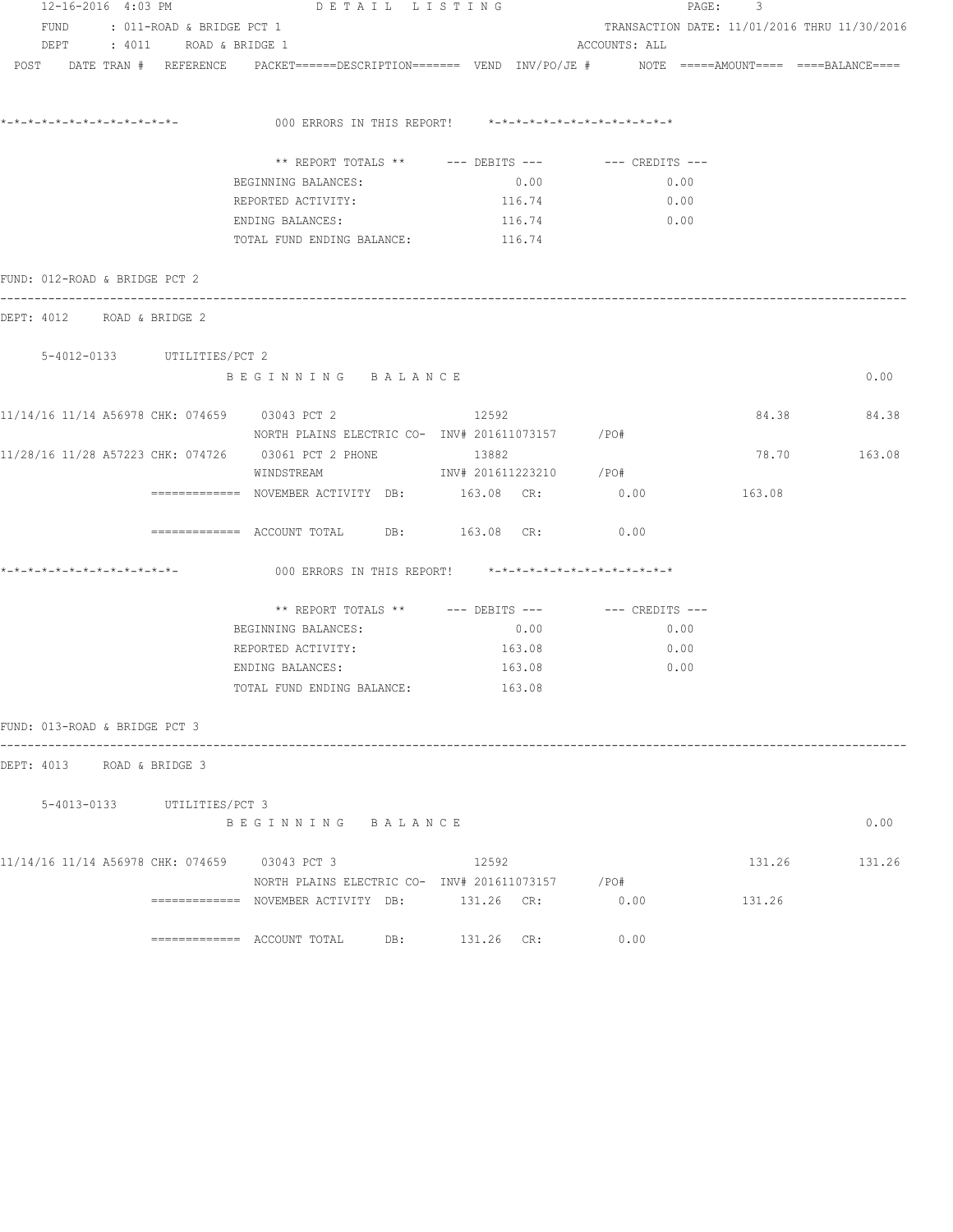| 12-16-2016 4:03 PM                            |                                | DETAIL LISTING                                                                                              |                         | PAGE: 3                                      |        |        |  |  |
|-----------------------------------------------|--------------------------------|-------------------------------------------------------------------------------------------------------------|-------------------------|----------------------------------------------|--------|--------|--|--|
|                                               | FUND : 011-ROAD & BRIDGE PCT 1 |                                                                                                             |                         | TRANSACTION DATE: 11/01/2016 THRU 11/30/2016 |        |        |  |  |
|                                               | DEPT : 4011 ROAD & BRIDGE 1    |                                                                                                             |                         | ACCOUNTS: ALL                                |        |        |  |  |
| POST DATE TRAN # REFERENCE                    |                                | PACKET======DESCRIPTION======== VEND INV/PO/JE #    NOTE =====AMOUNT==== ====BALANCE=====                   |                         |                                              |        |        |  |  |
|                                               |                                | 000 ERRORS IN THIS REPORT! *-*-*-*-*-*-*-*-*-*-*-*-*-*-                                                     |                         |                                              |        |        |  |  |
|                                               |                                | ** REPORT TOTALS ** --- DEBITS --- -- CREDITS ---                                                           |                         |                                              |        |        |  |  |
|                                               |                                | BEGINNING BALANCES:                                                                                         | 0.00                    | 0.00                                         |        |        |  |  |
|                                               |                                | REPORTED ACTIVITY:                                                                                          | 116.74                  | 0.00                                         |        |        |  |  |
|                                               |                                | ENDING BALANCES:                                                                                            | 116.74                  | 0.00                                         |        |        |  |  |
|                                               |                                | TOTAL FUND ENDING BALANCE:                                                                                  | 116.74                  |                                              |        |        |  |  |
| FUND: 012-ROAD & BRIDGE PCT 2                 |                                |                                                                                                             |                         |                                              |        |        |  |  |
| DEPT: 4012 ROAD & BRIDGE 2                    |                                |                                                                                                             |                         |                                              |        |        |  |  |
| 5-4012-0133 UTILITIES/PCT 2                   |                                |                                                                                                             |                         |                                              |        |        |  |  |
|                                               |                                | BEGINNING BALANCE                                                                                           |                         |                                              |        | 0.00   |  |  |
|                                               |                                | 11/14/16 11/14 A56978 CHK: 074659 03043 PCT 2<br>NORTH PLAINS ELECTRIC CO- $1\text{NV# } 201611073157$ /PO# | 12592                   |                                              | 84.38  | 84.38  |  |  |
|                                               |                                | 11/28/16 11/28 A57223 CHK: 074726 03061 PCT 2 PHONE                                                         | 13882                   |                                              | 78.70  | 163.08 |  |  |
|                                               |                                | WINDSTREAM                                                                                                  | INV# 201611223210 / PO# |                                              |        |        |  |  |
|                                               |                                | ============ NOVEMBER ACTIVITY DB: 163.08 CR: 0.00                                                          |                         |                                              | 163.08 |        |  |  |
|                                               |                                | $\texttt{-----}$ =========== ACCOUNT TOTAL DB: $163.08$ CR:                                                 |                         | 0.00                                         |        |        |  |  |
| *_*_*_*_*_*_*_*_*_*_*_*_*_*_*_                |                                | 000 ERRORS IN THIS REPORT! *-*-*-*-*-*-*-*-*-*-*-*-*-*-                                                     |                         |                                              |        |        |  |  |
|                                               |                                | ** REPORT TOTALS ** --- DEBITS --- -- CREDITS ---                                                           |                         |                                              |        |        |  |  |
|                                               |                                | BEGINNING BALANCES:                                                                                         | 0.00                    | 0.00                                         |        |        |  |  |
|                                               |                                | REPORTED ACTIVITY:                                                                                          | 163.08                  | 0.00                                         |        |        |  |  |
|                                               |                                | ENDING BALANCES:                                                                                            | 163.08                  | 0.00                                         |        |        |  |  |
|                                               |                                | TOTAL FUND ENDING BALANCE:                                                                                  | 163.08                  |                                              |        |        |  |  |
| FUND: 013-ROAD & BRIDGE PCT 3                 |                                | ---------------------                                                                                       |                         |                                              |        |        |  |  |
| DEPT: 4013 ROAD & BRIDGE 3                    |                                |                                                                                                             |                         |                                              |        |        |  |  |
|                                               | 5-4013-0133 UTILITIES/PCT 3    |                                                                                                             |                         |                                              |        |        |  |  |
|                                               |                                | BEGINNING BALANCE                                                                                           |                         |                                              |        | 0.00   |  |  |
| 11/14/16 11/14 A56978 CHK: 074659 03043 PCT 3 |                                |                                                                                                             | 12592                   |                                              | 131.26 | 131.26 |  |  |
|                                               |                                | NORTH PLAINS ELECTRIC CO- INV# 201611073157 / PO#                                                           |                         |                                              |        |        |  |  |
|                                               |                                | ============= NOVEMBER ACTIVITY DB: 131.26 CR:                                                              |                         | 0.00                                         | 131.26 |        |  |  |
|                                               |                                |                                                                                                             | 131.26 CR:              | 0.00                                         |        |        |  |  |